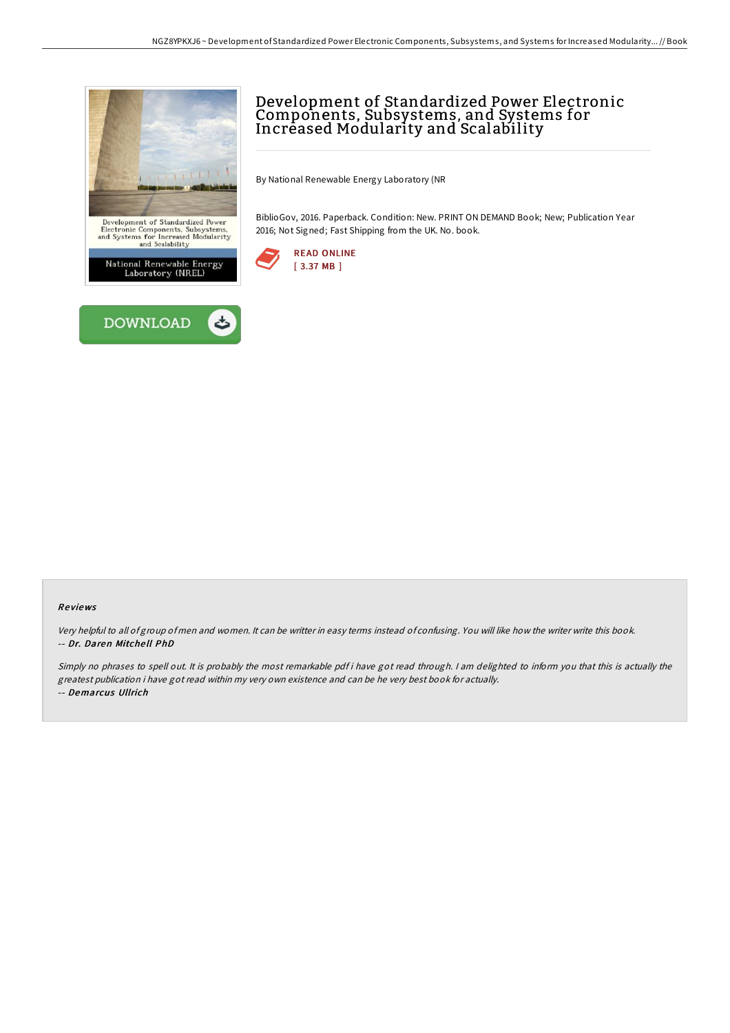



# Development of Standardized Power Electronic Components, Subsystems, and Systems for Increased Modularity and Scalability

By National Renewable Energy Laboratory (NR

BiblioGov, 2016. Paperback. Condition: New. PRINT ON DEMAND Book; New; Publication Year 2016; Not Signed; Fast Shipping from the UK. No. book.



#### Re views

Very helpful to all of group of men and women. It can be writter in easy terms instead of confusing. You will like how the writer write this book. -- Dr. Daren Mitche ll PhD

Simply no phrases to spell out. It is probably the most remarkable pdf i have got read through. I am delighted to inform you that this is actually the greatest publication i have got read within my very own existence and can be he very best book for actually. -- Demarcus Ullrich